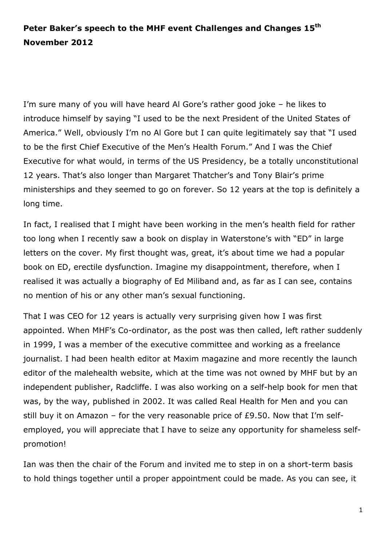## **Peter Baker's speech to the MHF event Challenges and Changes 15 th November 2012**

I'm sure many of you will have heard Al Gore's rather good joke – he likes to introduce himself by saying "I used to be the next President of the United States of America." Well, obviously I'm no Al Gore but I can quite legitimately say that "I used to be the first Chief Executive of the Men's Health Forum." And I was the Chief Executive for what would, in terms of the US Presidency, be a totally unconstitutional 12 years. That's also longer than Margaret Thatcher's and Tony Blair's prime ministerships and they seemed to go on forever. So 12 years at the top is definitely a long time.

In fact, I realised that I might have been working in the men's health field for rather too long when I recently saw a book on display in Waterstone's with "ED" in large letters on the cover. My first thought was, great, it's about time we had a popular book on ED, erectile dysfunction. Imagine my disappointment, therefore, when I realised it was actually a biography of Ed Miliband and, as far as I can see, contains no mention of his or any other man's sexual functioning.

That I was CEO for 12 years is actually very surprising given how I was first appointed. When MHF's Co-ordinator, as the post was then called, left rather suddenly in 1999, I was a member of the executive committee and working as a freelance journalist. I had been health editor at Maxim magazine and more recently the launch editor of the malehealth website, which at the time was not owned by MHF but by an independent publisher, Radcliffe. I was also working on a self-help book for men that was, by the way, published in 2002. It was called Real Health for Men and you can still buy it on Amazon – for the very reasonable price of £9.50. Now that I'm selfemployed, you will appreciate that I have to seize any opportunity for shameless selfpromotion!

Ian was then the chair of the Forum and invited me to step in on a short-term basis to hold things together until a proper appointment could be made. As you can see, it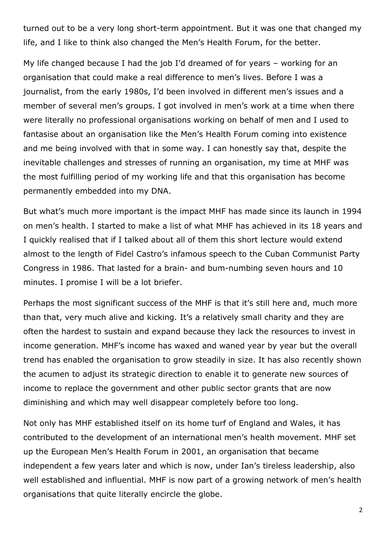turned out to be a very long short-term appointment. But it was one that changed my life, and I like to think also changed the Men's Health Forum, for the better.

My life changed because I had the job I'd dreamed of for years – working for an organisation that could make a real difference to men's lives. Before I was a journalist, from the early 1980s, I'd been involved in different men's issues and a member of several men's groups. I got involved in men's work at a time when there were literally no professional organisations working on behalf of men and I used to fantasise about an organisation like the Men's Health Forum coming into existence and me being involved with that in some way. I can honestly say that, despite the inevitable challenges and stresses of running an organisation, my time at MHF was the most fulfilling period of my working life and that this organisation has become permanently embedded into my DNA.

But what's much more important is the impact MHF has made since its launch in 1994 on men's health. I started to make a list of what MHF has achieved in its 18 years and I quickly realised that if I talked about all of them this short lecture would extend almost to the length of Fidel Castro's infamous speech to the Cuban Communist Party Congress in 1986. That lasted for a brain- and bum-numbing seven hours and 10 minutes. I promise I will be a lot briefer.

Perhaps the most significant success of the MHF is that it's still here and, much more than that, very much alive and kicking. It's a relatively small charity and they are often the hardest to sustain and expand because they lack the resources to invest in income generation. MHF's income has waxed and waned year by year but the overall trend has enabled the organisation to grow steadily in size. It has also recently shown the acumen to adjust its strategic direction to enable it to generate new sources of income to replace the government and other public sector grants that are now diminishing and which may well disappear completely before too long.

Not only has MHF established itself on its home turf of England and Wales, it has contributed to the development of an international men's health movement. MHF set up the European Men's Health Forum in 2001, an organisation that became independent a few years later and which is now, under Ian's tireless leadership, also well established and influential. MHF is now part of a growing network of men's health organisations that quite literally encircle the globe.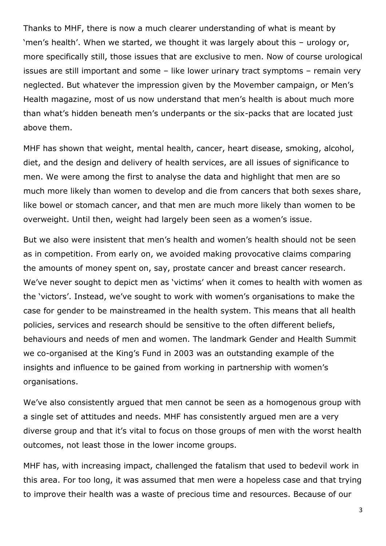Thanks to MHF, there is now a much clearer understanding of what is meant by 'men's health'. When we started, we thought it was largely about this – urology or, more specifically still, those issues that are exclusive to men. Now of course urological issues are still important and some – like lower urinary tract symptoms – remain very neglected. But whatever the impression given by the Movember campaign, or Men's Health magazine, most of us now understand that men's health is about much more than what's hidden beneath men's underpants or the six-packs that are located just above them.

MHF has shown that weight, mental health, cancer, heart disease, smoking, alcohol, diet, and the design and delivery of health services, are all issues of significance to men. We were among the first to analyse the data and highlight that men are so much more likely than women to develop and die from cancers that both sexes share, like bowel or stomach cancer, and that men are much more likely than women to be overweight. Until then, weight had largely been seen as a women's issue.

But we also were insistent that men's health and women's health should not be seen as in competition. From early on, we avoided making provocative claims comparing the amounts of money spent on, say, prostate cancer and breast cancer research. We've never sought to depict men as 'victims' when it comes to health with women as the 'victors'. Instead, we've sought to work with women's organisations to make the case for gender to be mainstreamed in the health system. This means that all health policies, services and research should be sensitive to the often different beliefs, behaviours and needs of men and women. The landmark Gender and Health Summit we co-organised at the King's Fund in 2003 was an outstanding example of the insights and influence to be gained from working in partnership with women's organisations.

We've also consistently argued that men cannot be seen as a homogenous group with a single set of attitudes and needs. MHF has consistently argued men are a very diverse group and that it's vital to focus on those groups of men with the worst health outcomes, not least those in the lower income groups.

MHF has, with increasing impact, challenged the fatalism that used to bedevil work in this area. For too long, it was assumed that men were a hopeless case and that trying to improve their health was a waste of precious time and resources. Because of our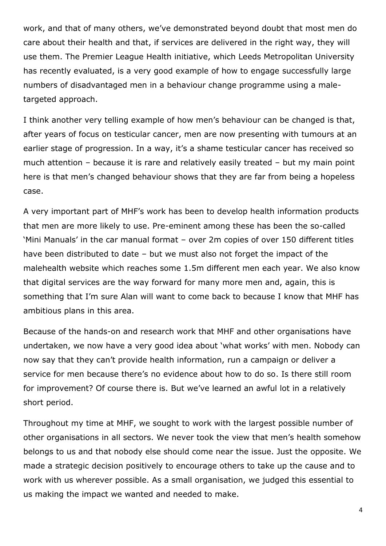work, and that of many others, we've demonstrated beyond doubt that most men do care about their health and that, if services are delivered in the right way, they will use them. The Premier League Health initiative, which Leeds Metropolitan University has recently evaluated, is a very good example of how to engage successfully large numbers of disadvantaged men in a behaviour change programme using a maletargeted approach.

I think another very telling example of how men's behaviour can be changed is that, after years of focus on testicular cancer, men are now presenting with tumours at an earlier stage of progression. In a way, it's a shame testicular cancer has received so much attention – because it is rare and relatively easily treated – but my main point here is that men's changed behaviour shows that they are far from being a hopeless case.

A very important part of MHF's work has been to develop health information products that men are more likely to use. Pre-eminent among these has been the so-called 'Mini Manuals' in the car manual format – over 2m copies of over 150 different titles have been distributed to date – but we must also not forget the impact of the malehealth website which reaches some 1.5m different men each year. We also know that digital services are the way forward for many more men and, again, this is something that I'm sure Alan will want to come back to because I know that MHF has ambitious plans in this area.

Because of the hands-on and research work that MHF and other organisations have undertaken, we now have a very good idea about 'what works' with men. Nobody can now say that they can't provide health information, run a campaign or deliver a service for men because there's no evidence about how to do so. Is there still room for improvement? Of course there is. But we've learned an awful lot in a relatively short period.

Throughout my time at MHF, we sought to work with the largest possible number of other organisations in all sectors. We never took the view that men's health somehow belongs to us and that nobody else should come near the issue. Just the opposite. We made a strategic decision positively to encourage others to take up the cause and to work with us wherever possible. As a small organisation, we judged this essential to us making the impact we wanted and needed to make.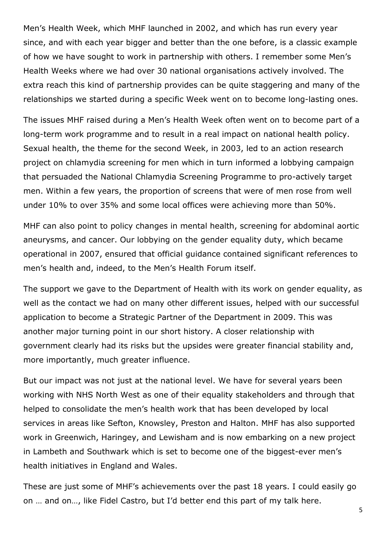Men's Health Week, which MHF launched in 2002, and which has run every year since, and with each year bigger and better than the one before, is a classic example of how we have sought to work in partnership with others. I remember some Men's Health Weeks where we had over 30 national organisations actively involved. The extra reach this kind of partnership provides can be quite staggering and many of the relationships we started during a specific Week went on to become long-lasting ones.

The issues MHF raised during a Men's Health Week often went on to become part of a long-term work programme and to result in a real impact on national health policy. Sexual health, the theme for the second Week, in 2003, led to an action research project on chlamydia screening for men which in turn informed a lobbying campaign that persuaded the National Chlamydia Screening Programme to pro-actively target men. Within a few years, the proportion of screens that were of men rose from well under 10% to over 35% and some local offices were achieving more than 50%.

MHF can also point to policy changes in mental health, screening for abdominal aortic aneurysms, and cancer. Our lobbying on the gender equality duty, which became operational in 2007, ensured that official guidance contained significant references to men's health and, indeed, to the Men's Health Forum itself.

The support we gave to the Department of Health with its work on gender equality, as well as the contact we had on many other different issues, helped with our successful application to become a Strategic Partner of the Department in 2009. This was another major turning point in our short history. A closer relationship with government clearly had its risks but the upsides were greater financial stability and, more importantly, much greater influence.

But our impact was not just at the national level. We have for several years been working with NHS North West as one of their equality stakeholders and through that helped to consolidate the men's health work that has been developed by local services in areas like Sefton, Knowsley, Preston and Halton. MHF has also supported work in Greenwich, Haringey, and Lewisham and is now embarking on a new project in Lambeth and Southwark which is set to become one of the biggest-ever men's health initiatives in England and Wales.

These are just some of MHF's achievements over the past 18 years. I could easily go on … and on…, like Fidel Castro, but I'd better end this part of my talk here.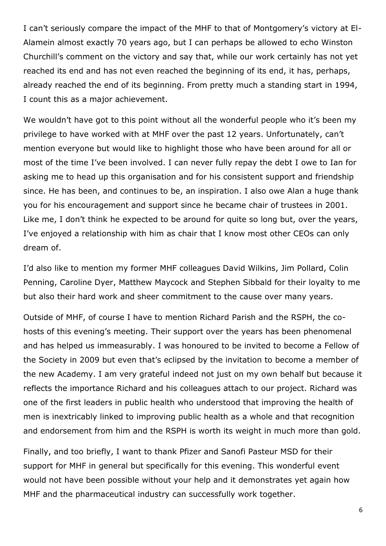I can't seriously compare the impact of the MHF to that of Montgomery's victory at El-Alamein almost exactly 70 years ago, but I can perhaps be allowed to echo Winston Churchill's comment on the victory and say that, while our work certainly has not yet reached its end and has not even reached the beginning of its end, it has, perhaps, already reached the end of its beginning. From pretty much a standing start in 1994, I count this as a major achievement.

We wouldn't have got to this point without all the wonderful people who it's been my privilege to have worked with at MHF over the past 12 years. Unfortunately, can't mention everyone but would like to highlight those who have been around for all or most of the time I've been involved. I can never fully repay the debt I owe to Ian for asking me to head up this organisation and for his consistent support and friendship since. He has been, and continues to be, an inspiration. I also owe Alan a huge thank you for his encouragement and support since he became chair of trustees in 2001. Like me, I don't think he expected to be around for quite so long but, over the years, I've enjoyed a relationship with him as chair that I know most other CEOs can only dream of.

I'd also like to mention my former MHF colleagues David Wilkins, Jim Pollard, Colin Penning, Caroline Dyer, Matthew Maycock and Stephen Sibbald for their loyalty to me but also their hard work and sheer commitment to the cause over many years.

Outside of MHF, of course I have to mention Richard Parish and the RSPH, the cohosts of this evening's meeting. Their support over the years has been phenomenal and has helped us immeasurably. I was honoured to be invited to become a Fellow of the Society in 2009 but even that's eclipsed by the invitation to become a member of the new Academy. I am very grateful indeed not just on my own behalf but because it reflects the importance Richard and his colleagues attach to our project. Richard was one of the first leaders in public health who understood that improving the health of men is inextricably linked to improving public health as a whole and that recognition and endorsement from him and the RSPH is worth its weight in much more than gold.

Finally, and too briefly, I want to thank Pfizer and Sanofi Pasteur MSD for their support for MHF in general but specifically for this evening. This wonderful event would not have been possible without your help and it demonstrates yet again how MHF and the pharmaceutical industry can successfully work together.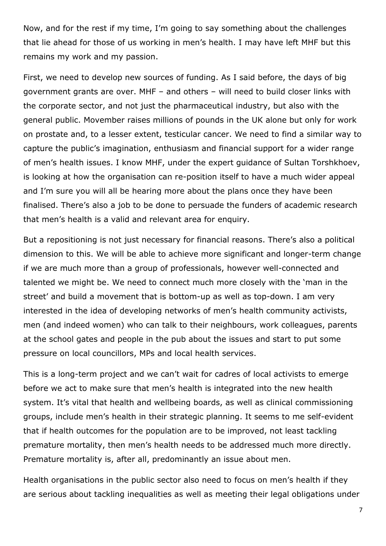Now, and for the rest if my time, I'm going to say something about the challenges that lie ahead for those of us working in men's health. I may have left MHF but this remains my work and my passion.

First, we need to develop new sources of funding. As I said before, the days of big government grants are over. MHF – and others – will need to build closer links with the corporate sector, and not just the pharmaceutical industry, but also with the general public. Movember raises millions of pounds in the UK alone but only for work on prostate and, to a lesser extent, testicular cancer. We need to find a similar way to capture the public's imagination, enthusiasm and financial support for a wider range of men's health issues. I know MHF, under the expert guidance of Sultan Torshkhoev, is looking at how the organisation can re-position itself to have a much wider appeal and I'm sure you will all be hearing more about the plans once they have been finalised. There's also a job to be done to persuade the funders of academic research that men's health is a valid and relevant area for enquiry.

But a repositioning is not just necessary for financial reasons. There's also a political dimension to this. We will be able to achieve more significant and longer-term change if we are much more than a group of professionals, however well-connected and talented we might be. We need to connect much more closely with the 'man in the street' and build a movement that is bottom-up as well as top-down. I am very interested in the idea of developing networks of men's health community activists, men (and indeed women) who can talk to their neighbours, work colleagues, parents at the school gates and people in the pub about the issues and start to put some pressure on local councillors, MPs and local health services.

This is a long-term project and we can't wait for cadres of local activists to emerge before we act to make sure that men's health is integrated into the new health system. It's vital that health and wellbeing boards, as well as clinical commissioning groups, include men's health in their strategic planning. It seems to me self-evident that if health outcomes for the population are to be improved, not least tackling premature mortality, then men's health needs to be addressed much more directly. Premature mortality is, after all, predominantly an issue about men.

Health organisations in the public sector also need to focus on men's health if they are serious about tackling inequalities as well as meeting their legal obligations under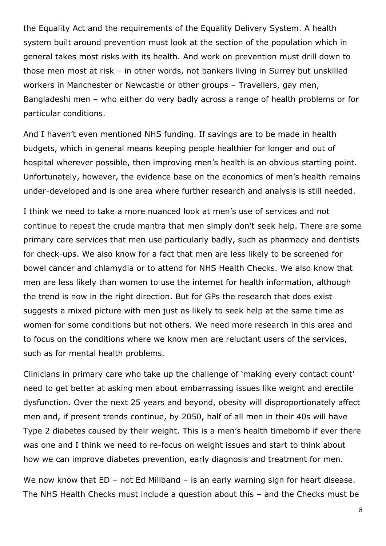the Equality Act and the requirements of the Equality Delivery System. A health system built around prevention must look at the section of the population which in general takes most risks with its health. And work on prevention must drill down to those men most at risk – in other words, not bankers living in Surrey but unskilled workers in Manchester or Newcastle or other groups – Travellers, gay men, Bangladeshi men – who either do very badly across a range of health problems or for particular conditions.

And I haven't even mentioned NHS funding. If savings are to be made in health budgets, which in general means keeping people healthier for longer and out of hospital wherever possible, then improving men's health is an obvious starting point. Unfortunately, however, the evidence base on the economics of men's health remains under-developed and is one area where further research and analysis is still needed.

I think we need to take a more nuanced look at men's use of services and not continue to repeat the crude mantra that men simply don't seek help. There are some primary care services that men use particularly badly, such as pharmacy and dentists for check-ups. We also know for a fact that men are less likely to be screened for bowel cancer and chlamydia or to attend for NHS Health Checks. We also know that men are less likely than women to use the internet for health information, although the trend is now in the right direction. But for GPs the research that does exist suggests a mixed picture with men just as likely to seek help at the same time as women for some conditions but not others. We need more research in this area and to focus on the conditions where we know men are reluctant users of the services, such as for mental health problems.

Clinicians in primary care who take up the challenge of 'making every contact count' need to get better at asking men about embarrassing issues like weight and erectile dysfunction. Over the next 25 years and beyond, obesity will disproportionately affect men and, if present trends continue, by 2050, half of all men in their 40s will have Type 2 diabetes caused by their weight. This is a men's health timebomb if ever there was one and I think we need to re-focus on weight issues and start to think about how we can improve diabetes prevention, early diagnosis and treatment for men.

We now know that ED – not Ed Miliband – is an early warning sign for heart disease. The NHS Health Checks must include a question about this – and the Checks must be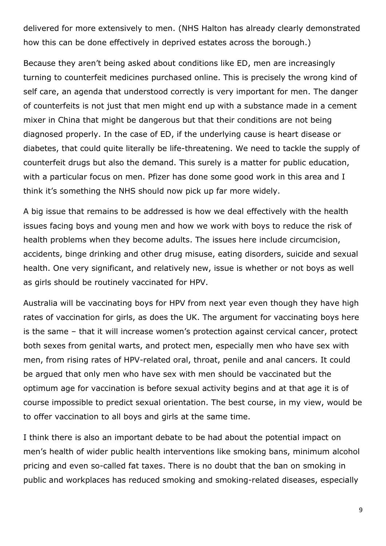delivered for more extensively to men. (NHS Halton has already clearly demonstrated how this can be done effectively in deprived estates across the borough.)

Because they aren't being asked about conditions like ED, men are increasingly turning to counterfeit medicines purchased online. This is precisely the wrong kind of self care, an agenda that understood correctly is very important for men. The danger of counterfeits is not just that men might end up with a substance made in a cement mixer in China that might be dangerous but that their conditions are not being diagnosed properly. In the case of ED, if the underlying cause is heart disease or diabetes, that could quite literally be life-threatening. We need to tackle the supply of counterfeit drugs but also the demand. This surely is a matter for public education, with a particular focus on men. Pfizer has done some good work in this area and I think it's something the NHS should now pick up far more widely.

A big issue that remains to be addressed is how we deal effectively with the health issues facing boys and young men and how we work with boys to reduce the risk of health problems when they become adults. The issues here include circumcision, accidents, binge drinking and other drug misuse, eating disorders, suicide and sexual health. One very significant, and relatively new, issue is whether or not boys as well as girls should be routinely vaccinated for HPV.

Australia will be vaccinating boys for HPV from next year even though they have high rates of vaccination for girls, as does the UK. The argument for vaccinating boys here is the same – that it will increase women's protection against cervical cancer, protect both sexes from genital warts, and protect men, especially men who have sex with men, from rising rates of HPV-related oral, throat, penile and anal cancers. It could be argued that only men who have sex with men should be vaccinated but the optimum age for vaccination is before sexual activity begins and at that age it is of course impossible to predict sexual orientation. The best course, in my view, would be to offer vaccination to all boys and girls at the same time.

I think there is also an important debate to be had about the potential impact on men's health of wider public health interventions like smoking bans, minimum alcohol pricing and even so-called fat taxes. There is no doubt that the ban on smoking in public and workplaces has reduced smoking and smoking-related diseases, especially